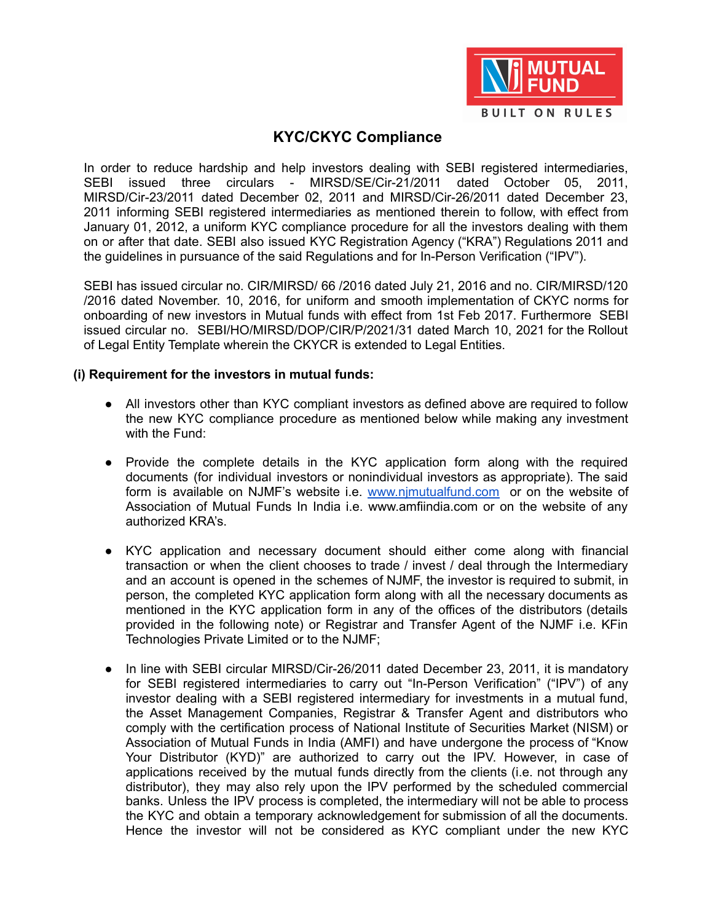

# **KYC/CKYC Compliance**

In order to reduce hardship and help investors dealing with SEBI registered intermediaries, SEBI issued three circulars - MIRSD/SE/Cir-21/2011 dated October 05, 2011, MIRSD/Cir-23/2011 dated December 02, 2011 and MIRSD/Cir-26/2011 dated December 23, 2011 informing SEBI registered intermediaries as mentioned therein to follow, with effect from January 01, 2012, a uniform KYC compliance procedure for all the investors dealing with them on or after that date. SEBI also issued KYC Registration Agency ("KRA") Regulations 2011 and the guidelines in pursuance of the said Regulations and for In-Person Verification ("IPV").

SEBI has issued circular no. CIR/MIRSD/ 66 /2016 dated July 21, 2016 and no. CIR/MIRSD/120 /2016 dated November. 10, 2016, for uniform and smooth implementation of CKYC norms for onboarding of new investors in Mutual funds with effect from 1st Feb 2017. Furthermore SEBI issued circular no. SEBI/HO/MIRSD/DOP/CIR/P/2021/31 dated March 10, 2021 for the Rollout of Legal Entity Template wherein the CKYCR is extended to Legal Entities.

#### **(i) Requirement for the investors in mutual funds:**

- All investors other than KYC compliant investors as defined above are required to follow the new KYC compliance procedure as mentioned below while making any investment with the Fund:
- Provide the complete details in the KYC application form along with the required documents (for individual investors or nonindividual investors as appropriate). The said form is available on NJMF's website i.e. www.nimutualfund.com or on the website of Association of Mutual Funds In India i.e. www.amfiindia.com or on the website of any authorized KRA's.
- KYC application and necessary document should either come along with financial transaction or when the client chooses to trade / invest / deal through the Intermediary and an account is opened in the schemes of NJMF, the investor is required to submit, in person, the completed KYC application form along with all the necessary documents as mentioned in the KYC application form in any of the offices of the distributors (details provided in the following note) or Registrar and Transfer Agent of the NJMF i.e. KFin Technologies Private Limited or to the NJMF;
- In line with SEBI circular MIRSD/Cir-26/2011 dated December 23, 2011, it is mandatory for SEBI registered intermediaries to carry out "In-Person Verification" ("IPV") of any investor dealing with a SEBI registered intermediary for investments in a mutual fund, the Asset Management Companies, Registrar & Transfer Agent and distributors who comply with the certification process of National Institute of Securities Market (NISM) or Association of Mutual Funds in India (AMFI) and have undergone the process of "Know Your Distributor (KYD)" are authorized to carry out the IPV. However, in case of applications received by the mutual funds directly from the clients (i.e. not through any distributor), they may also rely upon the IPV performed by the scheduled commercial banks. Unless the IPV process is completed, the intermediary will not be able to process the KYC and obtain a temporary acknowledgement for submission of all the documents. Hence the investor will not be considered as KYC compliant under the new KYC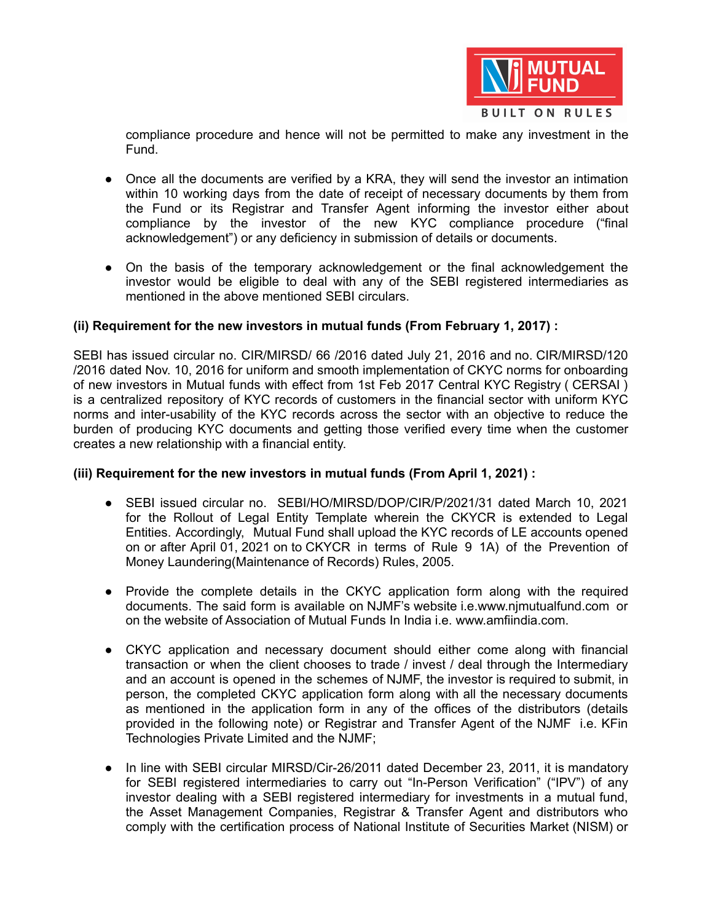

compliance procedure and hence will not be permitted to make any investment in the Fund.

- Once all the documents are verified by a KRA, they will send the investor an intimation within 10 working days from the date of receipt of necessary documents by them from the Fund or its Registrar and Transfer Agent informing the investor either about compliance by the investor of the new KYC compliance procedure ("final acknowledgement") or any deficiency in submission of details or documents.
- On the basis of the temporary acknowledgement or the final acknowledgement the investor would be eligible to deal with any of the SEBI registered intermediaries as mentioned in the above mentioned SEBI circulars.

### **(ii) Requirement for the new investors in mutual funds (From February 1, 2017) :**

SEBI has issued circular no. CIR/MIRSD/ 66 /2016 dated July 21, 2016 and no. CIR/MIRSD/120 /2016 dated Nov. 10, 2016 for uniform and smooth implementation of CKYC norms for onboarding of new investors in Mutual funds with effect from 1st Feb 2017 Central KYC Registry ( CERSAI ) is a centralized repository of KYC records of customers in the financial sector with uniform KYC norms and inter-usability of the KYC records across the sector with an objective to reduce the burden of producing KYC documents and getting those verified every time when the customer creates a new relationship with a financial entity.

### **(iii) Requirement for the new investors in mutual funds (From April 1, 2021) :**

- SEBI issued circular no. SEBI/HO/MIRSD/DOP/CIR/P/2021/31 dated March 10, 2021 for the Rollout of Legal Entity Template wherein the CKYCR is extended to Legal Entities. Accordingly, Mutual Fund shall upload the KYC records of LE accounts opened on or after April 01, 2021 on to CKYCR in terms of Rule 9 1A) of the Prevention of Money Laundering(Maintenance of Records) Rules, 2005.
- Provide the complete details in the CKYC application form along with the required documents. The said form is available on NJMF's website i.e.www.njmutualfund.com or on the website of Association of Mutual Funds In India i.e. www.amfiindia.com.
- CKYC application and necessary document should either come along with financial transaction or when the client chooses to trade / invest / deal through the Intermediary and an account is opened in the schemes of NJMF, the investor is required to submit, in person, the completed CKYC application form along with all the necessary documents as mentioned in the application form in any of the offices of the distributors (details provided in the following note) or Registrar and Transfer Agent of the NJMF i.e. KFin Technologies Private Limited and the NJMF;
- In line with SEBI circular MIRSD/Cir-26/2011 dated December 23, 2011, it is mandatory for SEBI registered intermediaries to carry out "In-Person Verification" ("IPV") of any investor dealing with a SEBI registered intermediary for investments in a mutual fund, the Asset Management Companies, Registrar & Transfer Agent and distributors who comply with the certification process of National Institute of Securities Market (NISM) or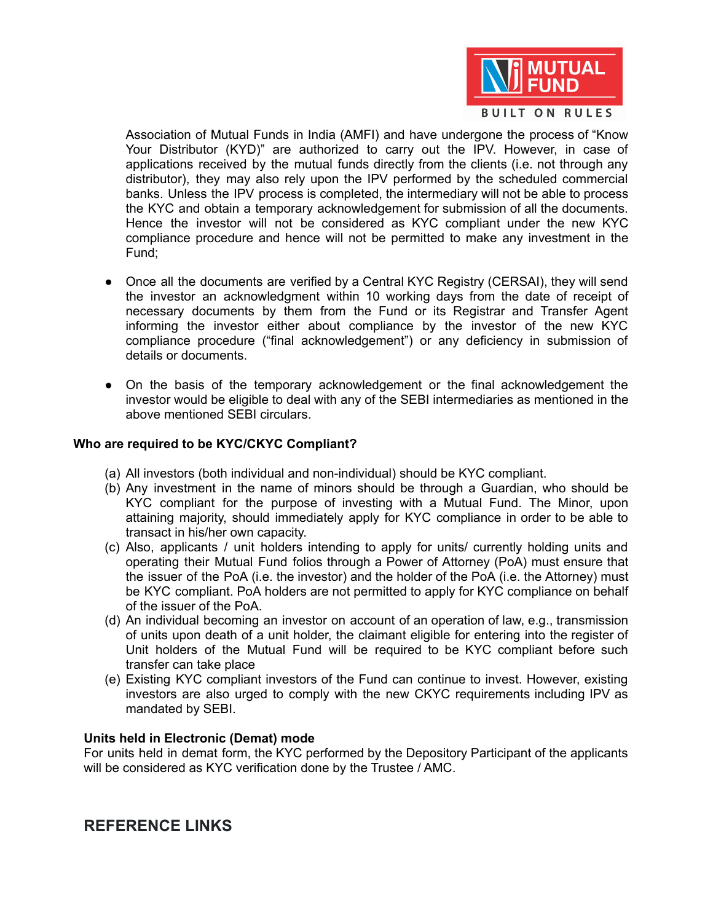

Association of Mutual Funds in India (AMFI) and have undergone the process of "Know Your Distributor (KYD)" are authorized to carry out the IPV. However, in case of applications received by the mutual funds directly from the clients (i.e. not through any distributor), they may also rely upon the IPV performed by the scheduled commercial banks. Unless the IPV process is completed, the intermediary will not be able to process the KYC and obtain a temporary acknowledgement for submission of all the documents. Hence the investor will not be considered as KYC compliant under the new KYC compliance procedure and hence will not be permitted to make any investment in the Fund;

- Once all the documents are verified by a Central KYC Registry (CERSAI), they will send the investor an acknowledgment within 10 working days from the date of receipt of necessary documents by them from the Fund or its Registrar and Transfer Agent informing the investor either about compliance by the investor of the new KYC compliance procedure ("final acknowledgement") or any deficiency in submission of details or documents.
- On the basis of the temporary acknowledgement or the final acknowledgement the investor would be eligible to deal with any of the SEBI intermediaries as mentioned in the above mentioned SEBI circulars.

### **Who are required to be KYC/CKYC Compliant?**

- (a) All investors (both individual and non-individual) should be KYC compliant.
- (b) Any investment in the name of minors should be through a Guardian, who should be KYC compliant for the purpose of investing with a Mutual Fund. The Minor, upon attaining majority, should immediately apply for KYC compliance in order to be able to transact in his/her own capacity.
- (c) Also, applicants / unit holders intending to apply for units/ currently holding units and operating their Mutual Fund folios through a Power of Attorney (PoA) must ensure that the issuer of the PoA (i.e. the investor) and the holder of the PoA (i.e. the Attorney) must be KYC compliant. PoA holders are not permitted to apply for KYC compliance on behalf of the issuer of the PoA.
- (d) An individual becoming an investor on account of an operation of law, e.g., transmission of units upon death of a unit holder, the claimant eligible for entering into the register of Unit holders of the Mutual Fund will be required to be KYC compliant before such transfer can take place
- (e) Existing KYC compliant investors of the Fund can continue to invest. However, existing investors are also urged to comply with the new CKYC requirements including IPV as mandated by SEBI.

#### **Units held in Electronic (Demat) mode**

For units held in demat form, the KYC performed by the Depository Participant of the applicants will be considered as KYC verification done by the Trustee / AMC.

## **REFERENCE LINKS**